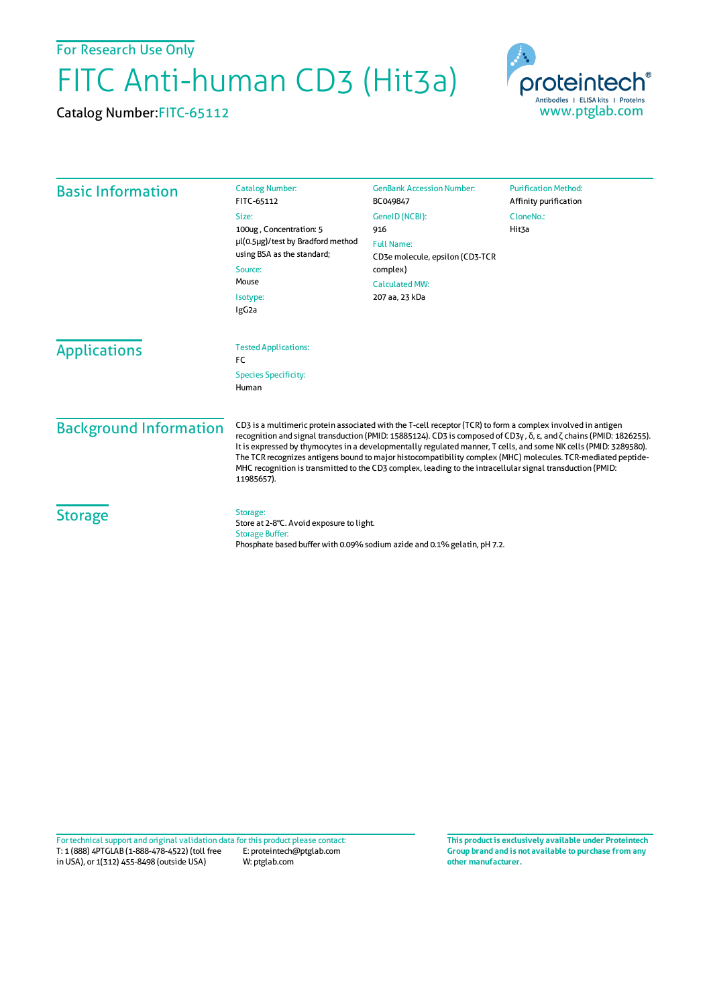For Research Use Only

## FITC Anti-human CD3 (Hit3a)

Catalog Number:FITC-65112



| <b>Basic Information</b>      | <b>Catalog Number:</b><br>FITC-65112                                                                                                                                                                                                                                                                                                                                                                                                                                                                                                                                                              | <b>GenBank Accession Number:</b><br>BC049847 | <b>Purification Method:</b><br>Affinity purification |
|-------------------------------|---------------------------------------------------------------------------------------------------------------------------------------------------------------------------------------------------------------------------------------------------------------------------------------------------------------------------------------------------------------------------------------------------------------------------------------------------------------------------------------------------------------------------------------------------------------------------------------------------|----------------------------------------------|------------------------------------------------------|
|                               | Size:<br>100ug, Concentration: 5                                                                                                                                                                                                                                                                                                                                                                                                                                                                                                                                                                  | GenelD (NCBI):<br>916                        | CloneNo.:<br>Hit3a                                   |
|                               | µl(0.5µg)/test by Bradford method<br>using BSA as the standard;<br>Source:                                                                                                                                                                                                                                                                                                                                                                                                                                                                                                                        | <b>Full Name:</b>                            |                                                      |
|                               |                                                                                                                                                                                                                                                                                                                                                                                                                                                                                                                                                                                                   | CD3e molecule, epsilon (CD3-TCR<br>complex)  |                                                      |
|                               | Mouse                                                                                                                                                                                                                                                                                                                                                                                                                                                                                                                                                                                             | <b>Calculated MW:</b>                        |                                                      |
|                               | Isotype:<br>IgG <sub>2a</sub>                                                                                                                                                                                                                                                                                                                                                                                                                                                                                                                                                                     | 207 aa, 23 kDa                               |                                                      |
| <b>Applications</b>           | <b>Tested Applications:</b><br>FC                                                                                                                                                                                                                                                                                                                                                                                                                                                                                                                                                                 |                                              |                                                      |
|                               | <b>Species Specificity:</b><br>Human                                                                                                                                                                                                                                                                                                                                                                                                                                                                                                                                                              |                                              |                                                      |
| <b>Background Information</b> | CD3 is a multimeric protein associated with the T-cell receptor (TCR) to form a complex involved in antigen<br>recognition and signal transduction (PMID: 15885124). CD3 is composed of CD3γ, δ, ε, and ζ chains (PMID: 1826255).<br>It is expressed by thymocytes in a developmentally regulated manner, T cells, and some NK cells (PMID: 3289580).<br>The TCR recognizes antigens bound to major histocompatibility complex (MHC) molecules. TCR-mediated peptide-<br>MHC recognition is transmitted to the CD3 complex, leading to the intracellular signal transduction (PMID:<br>11985657). |                                              |                                                      |
| <b>Storage</b>                | Storage:<br>Store at 2-8°C. Avoid exposure to light.<br><b>Storage Buffer:</b><br>Phosphate based buffer with 0.09% sodium azide and 0.1% gelatin, pH 7.2.                                                                                                                                                                                                                                                                                                                                                                                                                                        |                                              |                                                      |

**Group brand and is not available to purchase from any other manufacturer.**